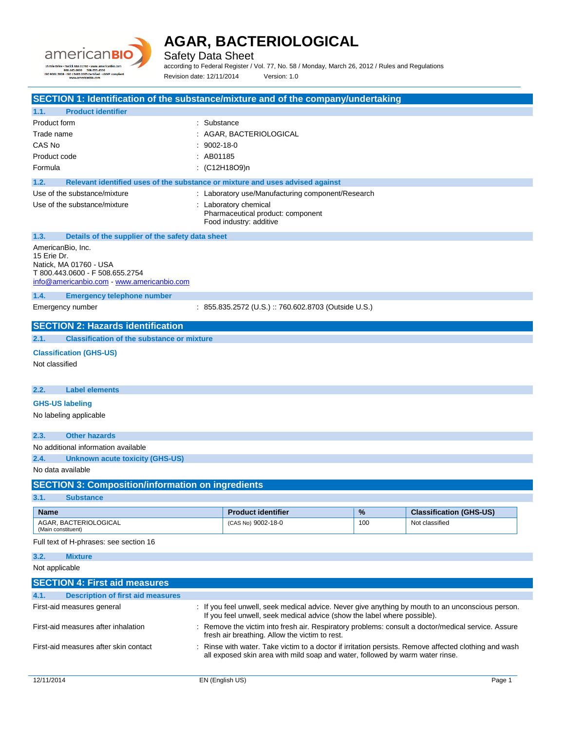

Safety Data Sheet

according to Federal Register / Vol. 77, No. 58 / Monday, March 26, 2012 / Rules and Regulations Revision date: 12/11/2014 Version: 1.0

|                                                                                                                                                                                                             |                                                                                                       |             | SECTION 1: Identification of the substance/mixture and of the company/undertaking                                                                                                      |     |                                |
|-------------------------------------------------------------------------------------------------------------------------------------------------------------------------------------------------------------|-------------------------------------------------------------------------------------------------------|-------------|----------------------------------------------------------------------------------------------------------------------------------------------------------------------------------------|-----|--------------------------------|
| 1.1.                                                                                                                                                                                                        | <b>Product identifier</b>                                                                             |             |                                                                                                                                                                                        |     |                                |
| Product form                                                                                                                                                                                                |                                                                                                       | : Substance |                                                                                                                                                                                        |     |                                |
| Trade name                                                                                                                                                                                                  |                                                                                                       |             | : AGAR, BACTERIOLOGICAL                                                                                                                                                                |     |                                |
| CAS No                                                                                                                                                                                                      |                                                                                                       | 9002-18-0   |                                                                                                                                                                                        |     |                                |
| Product code                                                                                                                                                                                                |                                                                                                       | : AB01185   |                                                                                                                                                                                        |     |                                |
| Formula                                                                                                                                                                                                     |                                                                                                       |             | : (C12H18O9)n                                                                                                                                                                          |     |                                |
| 1.2.                                                                                                                                                                                                        | Relevant identified uses of the substance or mixture and uses advised against                         |             |                                                                                                                                                                                        |     |                                |
|                                                                                                                                                                                                             | Use of the substance/mixture                                                                          |             | : Laboratory use/Manufacturing component/Research                                                                                                                                      |     |                                |
|                                                                                                                                                                                                             | Use of the substance/mixture                                                                          |             | : Laboratory chemical<br>Pharmaceutical product: component<br>Food industry: additive                                                                                                  |     |                                |
| 1.3.                                                                                                                                                                                                        | Details of the supplier of the safety data sheet                                                      |             |                                                                                                                                                                                        |     |                                |
| AmericanBio, Inc.<br>15 Erie Dr.                                                                                                                                                                            | Natick, MA 01760 - USA<br>T 800.443.0600 - F 508.655.2754<br>info@americanbio.com www.americanbio.com |             |                                                                                                                                                                                        |     |                                |
| 1.4.                                                                                                                                                                                                        | <b>Emergency telephone number</b>                                                                     |             |                                                                                                                                                                                        |     |                                |
|                                                                                                                                                                                                             | Emergency number                                                                                      |             | : 855.835.2572 (U.S.) :: 760.602.8703 (Outside U.S.)                                                                                                                                   |     |                                |
|                                                                                                                                                                                                             | <b>SECTION 2: Hazards identification</b>                                                              |             |                                                                                                                                                                                        |     |                                |
| 2.1.                                                                                                                                                                                                        | <b>Classification of the substance or mixture</b>                                                     |             |                                                                                                                                                                                        |     |                                |
|                                                                                                                                                                                                             | <b>Classification (GHS-US)</b>                                                                        |             |                                                                                                                                                                                        |     |                                |
| Not classified                                                                                                                                                                                              |                                                                                                       |             |                                                                                                                                                                                        |     |                                |
|                                                                                                                                                                                                             |                                                                                                       |             |                                                                                                                                                                                        |     |                                |
| 2.2.                                                                                                                                                                                                        | <b>Label elements</b>                                                                                 |             |                                                                                                                                                                                        |     |                                |
| <b>GHS-US labeling</b>                                                                                                                                                                                      |                                                                                                       |             |                                                                                                                                                                                        |     |                                |
|                                                                                                                                                                                                             | No labeling applicable                                                                                |             |                                                                                                                                                                                        |     |                                |
| 2.3.                                                                                                                                                                                                        | <b>Other hazards</b>                                                                                  |             |                                                                                                                                                                                        |     |                                |
|                                                                                                                                                                                                             | No additional information available                                                                   |             |                                                                                                                                                                                        |     |                                |
| 2.4.                                                                                                                                                                                                        | <b>Unknown acute toxicity (GHS-US)</b>                                                                |             |                                                                                                                                                                                        |     |                                |
| No data available                                                                                                                                                                                           |                                                                                                       |             |                                                                                                                                                                                        |     |                                |
|                                                                                                                                                                                                             | <b>SECTION 3: Composition/information on ingredients</b>                                              |             |                                                                                                                                                                                        |     |                                |
| 3.1.                                                                                                                                                                                                        | <b>Substance</b>                                                                                      |             |                                                                                                                                                                                        |     |                                |
| <b>Name</b>                                                                                                                                                                                                 |                                                                                                       |             | <b>Product identifier</b>                                                                                                                                                              | %   | <b>Classification (GHS-US)</b> |
| (Main constituent)                                                                                                                                                                                          | AGAR, BACTERIOLOGICAL                                                                                 |             | (CAS No) 9002-18-0                                                                                                                                                                     | 100 | Not classified                 |
|                                                                                                                                                                                                             | Full text of H-phrases: see section 16                                                                |             |                                                                                                                                                                                        |     |                                |
| 3.2.                                                                                                                                                                                                        | <b>Mixture</b>                                                                                        |             |                                                                                                                                                                                        |     |                                |
| Not applicable                                                                                                                                                                                              |                                                                                                       |             |                                                                                                                                                                                        |     |                                |
|                                                                                                                                                                                                             | <b>SECTION 4: First aid measures</b>                                                                  |             |                                                                                                                                                                                        |     |                                |
| 4.1.                                                                                                                                                                                                        | <b>Description of first aid measures</b>                                                              |             |                                                                                                                                                                                        |     |                                |
| First-aid measures general<br>: If you feel unwell, seek medical advice. Never give anything by mouth to an unconscious person.<br>If you feel unwell, seek medical advice (show the label where possible). |                                                                                                       |             |                                                                                                                                                                                        |     |                                |
| First-aid measures after inhalation<br>: Remove the victim into fresh air. Respiratory problems: consult a doctor/medical service. Assure<br>fresh air breathing. Allow the victim to rest.                 |                                                                                                       |             |                                                                                                                                                                                        |     |                                |
| First-aid measures after skin contact                                                                                                                                                                       |                                                                                                       |             | : Rinse with water. Take victim to a doctor if irritation persists. Remove affected clothing and wash<br>all exposed skin area with mild soap and water, followed by warm water rinse. |     |                                |
|                                                                                                                                                                                                             |                                                                                                       |             |                                                                                                                                                                                        |     |                                |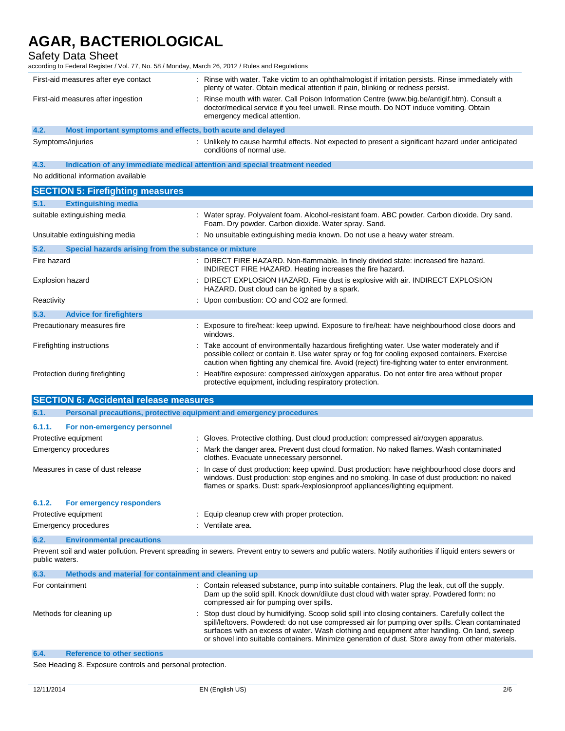### Safety Data Sheet

according to Federal Register / Vol. 77, No. 58 / Monday, March 26, 2012 / Rules and Regulations

| First-aid measures after eye contact                                | : Rinse with water. Take victim to an ophthalmologist if irritation persists. Rinse immediately with<br>plenty of water. Obtain medical attention if pain, blinking or redness persist.                              |  |
|---------------------------------------------------------------------|----------------------------------------------------------------------------------------------------------------------------------------------------------------------------------------------------------------------|--|
| First-aid measures after ingestion                                  | Rinse mouth with water. Call Poison Information Centre (www.big.be/antigif.htm). Consult a<br>doctor/medical service if you feel unwell. Rinse mouth. Do NOT induce vomiting. Obtain<br>emergency medical attention. |  |
| 4.2.<br>Most important symptoms and effects, both acute and delayed |                                                                                                                                                                                                                      |  |
| Symptoms/injuries                                                   | : Unlikely to cause harmful effects. Not expected to present a significant hazard under anticipated<br>conditions of normal use.                                                                                     |  |

**4.3. Indication of any immediate medical attention and special treatment needed**

No additional information available

| <b>SECTION 5: Firefighting measures</b>                       |                                                                                                                                                                                                                                                                                                     |
|---------------------------------------------------------------|-----------------------------------------------------------------------------------------------------------------------------------------------------------------------------------------------------------------------------------------------------------------------------------------------------|
| 5.1.<br><b>Extinguishing media</b>                            |                                                                                                                                                                                                                                                                                                     |
| suitable extinguishing media                                  | : Water spray. Polyvalent foam. Alcohol-resistant foam. ABC powder. Carbon dioxide. Dry sand.<br>Foam. Dry powder. Carbon dioxide. Water spray. Sand.                                                                                                                                               |
| Unsuitable extinguishing media                                | : No unsuitable extinguishing media known. Do not use a heavy water stream.                                                                                                                                                                                                                         |
| 5.2.<br>Special hazards arising from the substance or mixture |                                                                                                                                                                                                                                                                                                     |
| Fire hazard                                                   | : DIRECT FIRE HAZARD. Non-flammable. In finely divided state: increased fire hazard.<br>INDIRECT FIRE HAZARD. Heating increases the fire hazard.                                                                                                                                                    |
| Explosion hazard                                              | : DIRECT EXPLOSION HAZARD. Fine dust is explosive with air. INDIRECT EXPLOSION<br>HAZARD. Dust cloud can be ignited by a spark.                                                                                                                                                                     |
| Reactivity                                                    | : Upon combustion: CO and CO2 are formed.                                                                                                                                                                                                                                                           |
| 5.3.<br><b>Advice for firefighters</b>                        |                                                                                                                                                                                                                                                                                                     |
| Precautionary measures fire                                   | : Exposure to fire/heat: keep upwind. Exposure to fire/heat: have neighbourhood close doors and<br>windows.                                                                                                                                                                                         |
| Firefighting instructions                                     | : Take account of environmentally hazardous firefighting water. Use water moderately and if<br>possible collect or contain it. Use water spray or fog for cooling exposed containers. Exercise<br>caution when fighting any chemical fire. Avoid (reject) fire-fighting water to enter environment. |
| Protection during firefighting                                | : Heat/fire exposure: compressed air/oxygen apparatus. Do not enter fire area without proper<br>protective equipment, including respiratory protection.                                                                                                                                             |

| <b>SECTION 6: Accidental release measures</b> |                                                                     |                                                                                                                                                                                                                                                                               |  |
|-----------------------------------------------|---------------------------------------------------------------------|-------------------------------------------------------------------------------------------------------------------------------------------------------------------------------------------------------------------------------------------------------------------------------|--|
| 6.1.                                          | Personal precautions, protective equipment and emergency procedures |                                                                                                                                                                                                                                                                               |  |
| 6.1.1.                                        | For non-emergency personnel                                         |                                                                                                                                                                                                                                                                               |  |
| Protective equipment                          |                                                                     | : Gloves. Protective clothing. Dust cloud production: compressed air/oxygen apparatus.                                                                                                                                                                                        |  |
| Emergency procedures                          |                                                                     | : Mark the danger area. Prevent dust cloud formation. No naked flames. Wash contaminated<br>clothes. Evacuate unnecessary personnel.                                                                                                                                          |  |
| Measures in case of dust release              |                                                                     | : In case of dust production: keep upwind. Dust production: have neighbourhood close doors and<br>windows. Dust production: stop engines and no smoking. In case of dust production: no naked<br>flames or sparks. Dust: spark-/explosionproof appliances/lighting equipment. |  |
| 6.1.2.                                        | For emergency responders                                            |                                                                                                                                                                                                                                                                               |  |
| Protective equipment                          |                                                                     | : Equip cleanup crew with proper protection.                                                                                                                                                                                                                                  |  |
| <b>Emergency procedures</b>                   |                                                                     | : Ventilate area.                                                                                                                                                                                                                                                             |  |

#### **6.2. Environmental precautions**

Prevent soil and water pollution. Prevent spreading in sewers. Prevent entry to sewers and public waters. Notify authorities if liquid enters sewers or public waters.

| 6.3.                    | Methods and material for containment and cleaning up |                                                                                                                                                                                                                                                                                                                                                                                                             |  |
|-------------------------|------------------------------------------------------|-------------------------------------------------------------------------------------------------------------------------------------------------------------------------------------------------------------------------------------------------------------------------------------------------------------------------------------------------------------------------------------------------------------|--|
| For containment         |                                                      | : Contain released substance, pump into suitable containers. Plug the leak, cut off the supply.<br>Dam up the solid spill. Knock down/dilute dust cloud with water spray. Powdered form: no<br>compressed air for pumping over spills.                                                                                                                                                                      |  |
| Methods for cleaning up |                                                      | : Stop dust cloud by humidifying. Scoop solid spill into closing containers. Carefully collect the<br>spill/leftovers. Powdered: do not use compressed air for pumping over spills. Clean contaminated<br>surfaces with an excess of water. Wash clothing and equipment after handling. On land, sweep<br>or shovel into suitable containers. Minimize generation of dust. Store away from other materials. |  |
| 6.4.                    | <b>Reference to other sections</b>                   |                                                                                                                                                                                                                                                                                                                                                                                                             |  |

See Heading 8. Exposure controls and personal protection.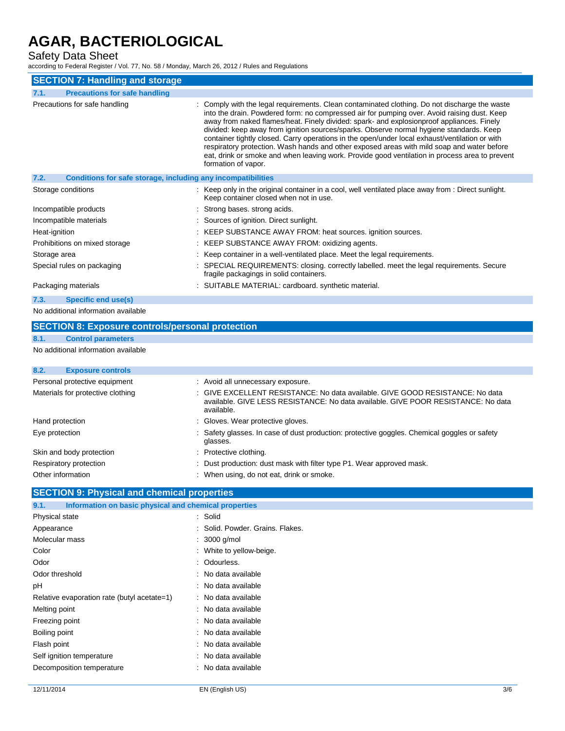### Safety Data Sheet

according to Federal Register / Vol. 77, No. 58 / Monday, March 26, 2012 / Rules and Regulations

| <b>SECTION 7: Handling and storage</b>                               |                                                                                                                                                                                                                                                                                                                                                                                                                                                                                                                                                                                                                                                                                                                |  |  |
|----------------------------------------------------------------------|----------------------------------------------------------------------------------------------------------------------------------------------------------------------------------------------------------------------------------------------------------------------------------------------------------------------------------------------------------------------------------------------------------------------------------------------------------------------------------------------------------------------------------------------------------------------------------------------------------------------------------------------------------------------------------------------------------------|--|--|
| 7.1.<br><b>Precautions for safe handling</b>                         |                                                                                                                                                                                                                                                                                                                                                                                                                                                                                                                                                                                                                                                                                                                |  |  |
| Precautions for safe handling                                        | : Comply with the legal requirements. Clean contaminated clothing. Do not discharge the waste<br>into the drain. Powdered form: no compressed air for pumping over. Avoid raising dust. Keep<br>away from naked flames/heat. Finely divided: spark- and explosion proof appliances. Finely<br>divided: keep away from ignition sources/sparks. Observe normal hygiene standards. Keep<br>container tightly closed. Carry operations in the open/under local exhaust/ventilation or with<br>respiratory protection. Wash hands and other exposed areas with mild soap and water before<br>eat, drink or smoke and when leaving work. Provide good ventilation in process area to prevent<br>formation of vapor. |  |  |
| 7.2.<br>Conditions for safe storage, including any incompatibilities |                                                                                                                                                                                                                                                                                                                                                                                                                                                                                                                                                                                                                                                                                                                |  |  |
| Storage conditions                                                   | : Keep only in the original container in a cool, well ventilated place away from : Direct sunlight.<br>Keep container closed when not in use.                                                                                                                                                                                                                                                                                                                                                                                                                                                                                                                                                                  |  |  |
| Incompatible products                                                | : Strong bases, strong acids.                                                                                                                                                                                                                                                                                                                                                                                                                                                                                                                                                                                                                                                                                  |  |  |
| Incompatible materials                                               | : Sources of ignition. Direct sunlight.                                                                                                                                                                                                                                                                                                                                                                                                                                                                                                                                                                                                                                                                        |  |  |
| Heat-ignition                                                        | : KEEP SUBSTANCE AWAY FROM: heat sources. ignition sources.                                                                                                                                                                                                                                                                                                                                                                                                                                                                                                                                                                                                                                                    |  |  |
| Prohibitions on mixed storage                                        | : KEEP SUBSTANCE AWAY FROM: oxidizing agents.                                                                                                                                                                                                                                                                                                                                                                                                                                                                                                                                                                                                                                                                  |  |  |
| Storage area                                                         | : Keep container in a well-ventilated place. Meet the legal requirements.                                                                                                                                                                                                                                                                                                                                                                                                                                                                                                                                                                                                                                      |  |  |
| Special rules on packaging                                           | : SPECIAL REQUIREMENTS: closing. correctly labelled. meet the legal requirements. Secure<br>fragile packagings in solid containers.                                                                                                                                                                                                                                                                                                                                                                                                                                                                                                                                                                            |  |  |
| Packaging materials                                                  | : SUITABLE MATERIAL: cardboard. synthetic material.                                                                                                                                                                                                                                                                                                                                                                                                                                                                                                                                                                                                                                                            |  |  |
| 7.3.<br><b>Specific end use(s)</b>                                   |                                                                                                                                                                                                                                                                                                                                                                                                                                                                                                                                                                                                                                                                                                                |  |  |

No additional information available

| <b>SECTION 8: Exposure controls/personal protection</b> |                           |                                                                                                                                                                                  |  |  |
|---------------------------------------------------------|---------------------------|----------------------------------------------------------------------------------------------------------------------------------------------------------------------------------|--|--|
| 8.1.                                                    | <b>Control parameters</b> |                                                                                                                                                                                  |  |  |
| No additional information available                     |                           |                                                                                                                                                                                  |  |  |
| 8.2.                                                    | <b>Exposure controls</b>  |                                                                                                                                                                                  |  |  |
| Personal protective equipment                           |                           | : Avoid all unnecessary exposure.                                                                                                                                                |  |  |
| Materials for protective clothing                       |                           | : GIVE EXCELLENT RESISTANCE: No data available. GIVE GOOD RESISTANCE: No data<br>available. GIVE LESS RESISTANCE: No data available. GIVE POOR RESISTANCE: No data<br>available. |  |  |
| Hand protection                                         |                           | : Gloves. Wear protective gloves.                                                                                                                                                |  |  |
| Eye protection                                          |                           | : Safety glasses. In case of dust production: protective goggles. Chemical goggles or safety<br>glasses.                                                                         |  |  |
|                                                         | Skin and body protection  | : Protective clothing.                                                                                                                                                           |  |  |
| Respiratory protection                                  |                           | : Dust production: dust mask with filter type P1. Wear approved mask.                                                                                                            |  |  |

| Other information | : When using, do not eat, drink or smoke. |
|-------------------|-------------------------------------------|
|                   |                                           |

### **SECTION 9: Physical and chemical properties**

| 9.1.                                        | Information on basic physical and chemical properties |  |
|---------------------------------------------|-------------------------------------------------------|--|
| Physical state                              | : Solid                                               |  |
| Appearance                                  | : Solid. Powder. Grains. Flakes.                      |  |
| Molecular mass                              | $: 3000$ g/mol                                        |  |
| Color                                       | : White to yellow-beige.                              |  |
| Odor                                        | : Odourless.                                          |  |
| Odor threshold                              | : No data available                                   |  |
| рH                                          | : No data available                                   |  |
| Relative evaporation rate (butyl acetate=1) | : No data available                                   |  |
| Melting point                               | : No data available                                   |  |
| Freezing point                              | : No data available                                   |  |
| Boiling point                               | : No data available                                   |  |
| Flash point                                 | : No data available                                   |  |
| Self ignition temperature                   | : No data available                                   |  |
| Decomposition temperature                   | : No data available                                   |  |
|                                             |                                                       |  |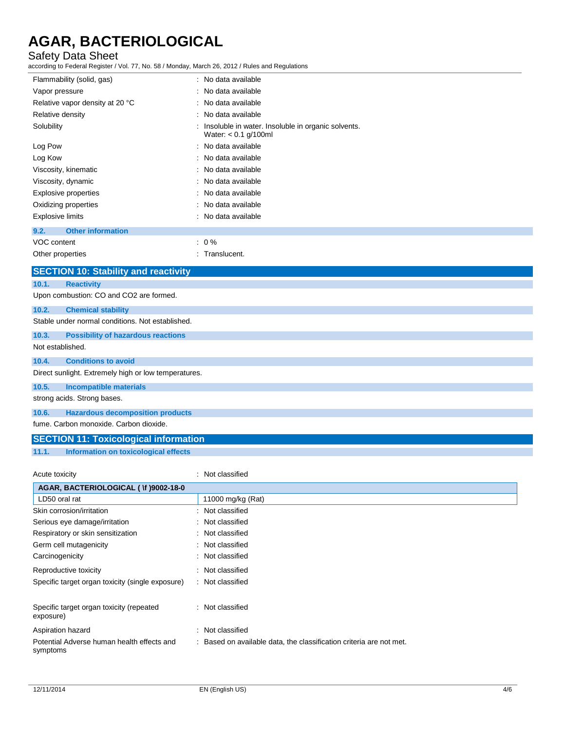### Safety Data Sheet

according to Federal Register / Vol. 77, No. 58 / Monday, March 26, 2012 / Rules and Regulations

| ccording to Federal Register / Vol. 77, No. 58 / Monday, March 26, 2012 / Rules and Regulations |                                                                            |  |
|-------------------------------------------------------------------------------------------------|----------------------------------------------------------------------------|--|
| Flammability (solid, gas)                                                                       | : No data available                                                        |  |
| Vapor pressure                                                                                  | No data available                                                          |  |
| Relative vapor density at 20 °C                                                                 | No data available                                                          |  |
| Relative density                                                                                | : No data available                                                        |  |
| Solubility                                                                                      | Insoluble in water. Insoluble in organic solvents.<br>Water: < 0.1 g/100ml |  |
| Log Pow                                                                                         | : No data available                                                        |  |
| Log Kow                                                                                         | : No data available                                                        |  |
| Viscosity, kinematic                                                                            | No data available                                                          |  |
| Viscosity, dynamic                                                                              | : No data available                                                        |  |
| <b>Explosive properties</b>                                                                     | No data available                                                          |  |
| Oxidizing properties                                                                            | No data available                                                          |  |
| <b>Explosive limits</b>                                                                         | : No data available                                                        |  |
| 9.2.<br><b>Other information</b>                                                                |                                                                            |  |
| VOC content                                                                                     | $: 0 \%$                                                                   |  |
| : Translucent.<br>Other properties                                                              |                                                                            |  |
| <b>SECTION 10: Stability and reactivity</b>                                                     |                                                                            |  |
| <b>Reactivity</b><br>10.1.                                                                      |                                                                            |  |
| Upon combustion: CO and CO2 are formed.                                                         |                                                                            |  |
| <b>Chemical stability</b><br>10.2.                                                              |                                                                            |  |
| Stable under normal conditions. Not established.                                                |                                                                            |  |
| 10.3.<br><b>Possibility of hazardous reactions</b>                                              |                                                                            |  |
| Not established.                                                                                |                                                                            |  |
| <b>Conditions to avoid</b><br>10.4.                                                             |                                                                            |  |
| Direct sunlight. Extremely high or low temperatures.                                            |                                                                            |  |
| 10.5.<br><b>Incompatible materials</b>                                                          |                                                                            |  |
| strong acids. Strong bases.                                                                     |                                                                            |  |
| 10.6.<br><b>Hazardous decomposition products</b>                                                |                                                                            |  |
| fume. Carbon monoxide. Carbon dioxide.                                                          |                                                                            |  |
| <b>SECTION 11: Toxicological information</b>                                                    |                                                                            |  |
|                                                                                                 |                                                                            |  |

**11.1. Information on toxicological effects**

| Acute toxicity                                         | Not classified                                                    |  |  |  |
|--------------------------------------------------------|-------------------------------------------------------------------|--|--|--|
| AGAR, BACTERIOLOGICAL ( \f )9002-18-0                  |                                                                   |  |  |  |
| LD50 oral rat                                          | 11000 mg/kg (Rat)                                                 |  |  |  |
| Skin corrosion/irritation                              | Not classified                                                    |  |  |  |
| Serious eye damage/irritation                          | Not classified<br>÷.                                              |  |  |  |
| Respiratory or skin sensitization                      | Not classified                                                    |  |  |  |
| Germ cell mutagenicity                                 | : Not classified                                                  |  |  |  |
| Carcinogenicity                                        | Not classified                                                    |  |  |  |
| Reproductive toxicity                                  | Not classified                                                    |  |  |  |
| Specific target organ toxicity (single exposure)       | : Not classified                                                  |  |  |  |
|                                                        |                                                                   |  |  |  |
| Specific target organ toxicity (repeated<br>exposure)  | : Not classified                                                  |  |  |  |
| Aspiration hazard                                      | Not classified                                                    |  |  |  |
| Potential Adverse human health effects and<br>symptoms | Based on available data, the classification criteria are not met. |  |  |  |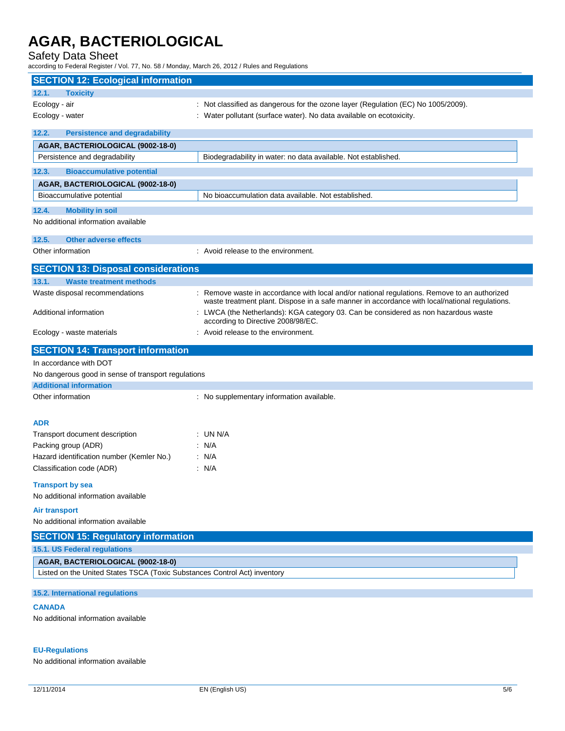Safety Data Sheet

according to Federal Register / Vol. 77, No. 58 / Monday, March 26, 2012 / Rules and Regulations

| <b>SECTION 12: Ecological information</b>                                                                      |                                                                                                                                                                                              |
|----------------------------------------------------------------------------------------------------------------|----------------------------------------------------------------------------------------------------------------------------------------------------------------------------------------------|
| 12.1.<br><b>Toxicity</b>                                                                                       |                                                                                                                                                                                              |
| Ecology - air                                                                                                  | : Not classified as dangerous for the ozone layer (Regulation (EC) No 1005/2009).                                                                                                            |
| Ecology - water                                                                                                | : Water pollutant (surface water). No data available on ecotoxicity.                                                                                                                         |
| 12.2.<br><b>Persistence and degradability</b>                                                                  |                                                                                                                                                                                              |
| AGAR, BACTERIOLOGICAL (9002-18-0)                                                                              |                                                                                                                                                                                              |
| Persistence and degradability                                                                                  | Biodegradability in water: no data available. Not established.                                                                                                                               |
| 12.3.<br><b>Bioaccumulative potential</b>                                                                      |                                                                                                                                                                                              |
| AGAR, BACTERIOLOGICAL (9002-18-0)                                                                              |                                                                                                                                                                                              |
| Bioaccumulative potential                                                                                      | No bioaccumulation data available. Not established.                                                                                                                                          |
| 12.4.<br><b>Mobility in soil</b>                                                                               |                                                                                                                                                                                              |
| No additional information available                                                                            |                                                                                                                                                                                              |
| 12.5.<br><b>Other adverse effects</b>                                                                          |                                                                                                                                                                                              |
| Other information                                                                                              | : Avoid release to the environment.                                                                                                                                                          |
| <b>SECTION 13: Disposal considerations</b>                                                                     |                                                                                                                                                                                              |
| 13.1.<br><b>Waste treatment methods</b>                                                                        |                                                                                                                                                                                              |
| Waste disposal recommendations                                                                                 | Remove waste in accordance with local and/or national regulations. Remove to an authorized<br>waste treatment plant. Dispose in a safe manner in accordance with local/national regulations. |
| Additional information                                                                                         | LWCA (the Netherlands): KGA category 03. Can be considered as non hazardous waste<br>according to Directive 2008/98/EC.                                                                      |
| Ecology - waste materials                                                                                      | : Avoid release to the environment.                                                                                                                                                          |
| <b>SECTION 14: Transport information</b>                                                                       |                                                                                                                                                                                              |
| In accordance with DOT                                                                                         |                                                                                                                                                                                              |
| No dangerous good in sense of transport regulations<br><b>Additional information</b>                           |                                                                                                                                                                                              |
| Other information                                                                                              | : No supplementary information available.                                                                                                                                                    |
|                                                                                                                |                                                                                                                                                                                              |
| <b>ADR</b>                                                                                                     |                                                                                                                                                                                              |
| Transport document description                                                                                 | : UN N/A                                                                                                                                                                                     |
| Packing group (ADR)                                                                                            | N/A                                                                                                                                                                                          |
| Hazard identification number (Kemler No.)                                                                      | : N/A                                                                                                                                                                                        |
| Classification code (ADR)                                                                                      | : N/A                                                                                                                                                                                        |
| <b>Transport by sea</b><br>No additional information available                                                 |                                                                                                                                                                                              |
| <b>Air transport</b>                                                                                           |                                                                                                                                                                                              |
| No additional information available                                                                            |                                                                                                                                                                                              |
| <b>SECTION 15: Regulatory information</b>                                                                      |                                                                                                                                                                                              |
| 15.1. US Federal regulations                                                                                   |                                                                                                                                                                                              |
| AGAR, BACTERIOLOGICAL (9002-18-0)<br>Listed on the United States TSCA (Toxic Substances Control Act) inventory |                                                                                                                                                                                              |
|                                                                                                                |                                                                                                                                                                                              |
| <b>15.2. International regulations</b>                                                                         |                                                                                                                                                                                              |
| <b>CANADA</b>                                                                                                  |                                                                                                                                                                                              |
| No additional information available                                                                            |                                                                                                                                                                                              |

#### **EU-Regulations**

No additional information available